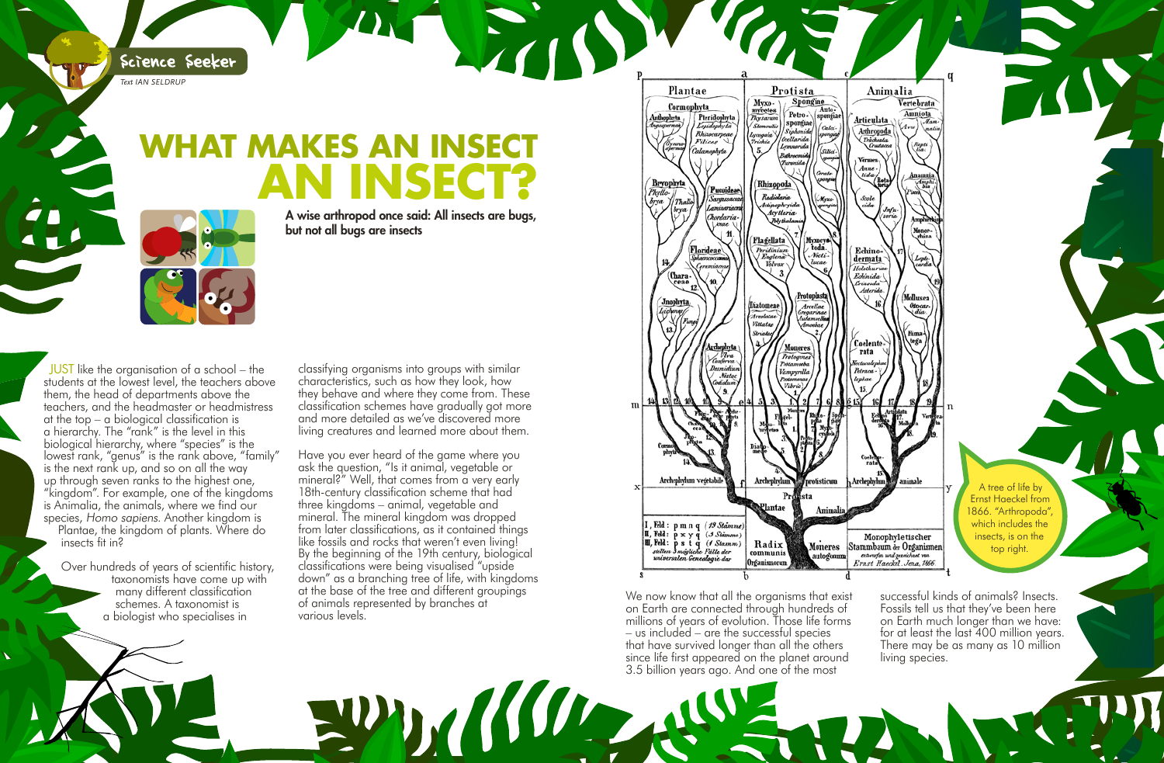successful kinds of animals? Insects. Fossils tell us that they've been here on Earth much longer than we have: for at least the last 400 million years. There may be as many as 10 million

living species.

**JUST** like the organisation of a school – the students at the lowest level, the teachers above them, the head of departments above the teachers, and the headmaster or headmistress at the top – a biological classification is a hierarchy. The "rank" is the level in this biological hierarchy, where "species" is the lowest rank, "genus" is the rank above, "family" is the next rank up, and so on all the way up through seven ranks to the highest one, "kingdom". For example, one of the kingdoms is Animalia, the animals, where we find our species, Homo sapiens. Another kingdom is

## **MAKES AN INSECT an insect?**

Plantae, the kingdom of plants. Where do insects fit in?

Over hundreds of years of scientific history, taxonomists have come up with many different classification schemes. A taxonomist is a biologist who specialises in

Science Seeker

*Text IAN SELDRUP*

A wise arthropod once said: All insects are bugs, but not all bugs are insects

> We now know that all the organisms that exist on Earth are connected through hundreds of millions of years of evolution. Those life forms – us included – are the successful species that have survived longer than all the others since life first appeared on the planet around 3.5 billion years ago. And one of the most

classifying organisms into groups with similar characteristics, such as how they look, how they behave and where they come from. These classification schemes have gradually got more and more detailed as we've discovered more living creatures and learned more about them.

Have you ever heard of the game where you ask the question, "Is it animal, vegetable or mineral?" Well, that comes from a very early 18th-century classification scheme that had three kingdoms – animal, vegetable and mineral. The mineral kingdom was dropped from later classifications, as it contained things like fossils and rocks that weren't even living! By the beginning of the 19th century, biological classifications were being visualised "upside down" as a branching tree of life, with kingdoms at the base of the tree and different groupings of animals represented by branches at various levels.

PDKWD AS



A tree of life by Ernst Haeckel from 1866. "Arthropoda", which includes the insects, is on the top right.